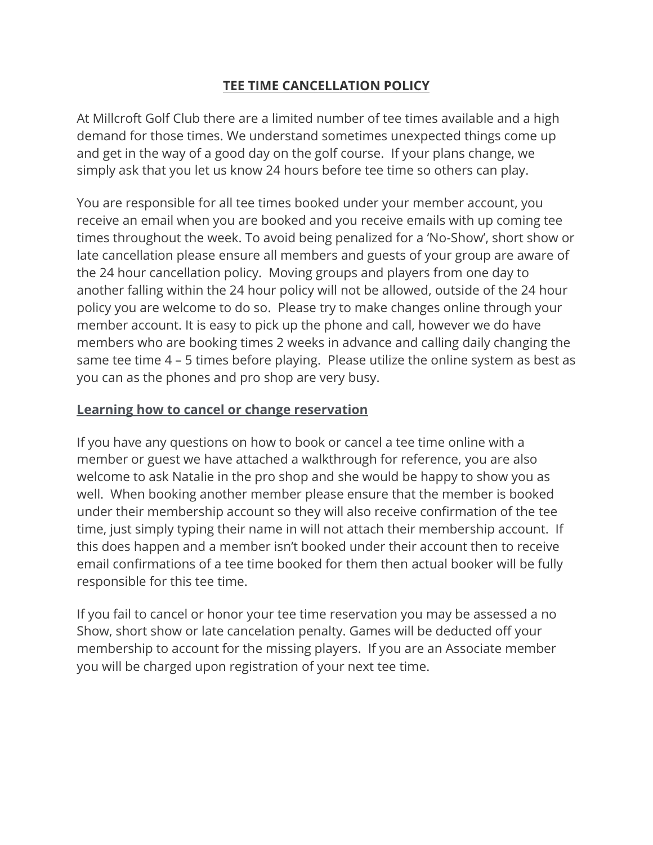## **TEE TIME CANCELLATION POLICY**

At Millcroft Golf Club there are a limited number of tee times available and a high demand for those times. We understand sometimes unexpected things come up and get in the way of a good day on the golf course. If your plans change, we simply ask that you let us know 24 hours before tee time so others can play.

You are responsible for all tee times booked under your member account, you receive an email when you are booked and you receive emails with up coming tee times throughout the week. To avoid being penalized for a 'No-Show', short show or late cancellation please ensure all members and guests of your group are aware of the 24 hour cancellation policy. Moving groups and players from one day to another falling within the 24 hour policy will not be allowed, outside of the 24 hour policy you are welcome to do so. Please try to make changes online through your member account. It is easy to pick up the phone and call, however we do have members who are booking times 2 weeks in advance and calling daily changing the same tee time 4 – 5 times before playing. Please utilize the online system as best as you can as the phones and pro shop are very busy.

## **Learning [how to cancel or change reservation](https://www.calgary.ca/csps/recreation/golf-courses/how-to-book-a-tee-time.html)**

If you have any questions on how to book or cancel a tee time online with a member or guest we have attached a walkthrough for reference, you are also welcome to ask Natalie in the pro shop and she would be happy to show you as well. When booking another member please ensure that the member is booked under their membership account so they will also receive confirmation of the tee time, just simply typing their name in will not attach their membership account. If this does happen and a member isn't booked under their account then to receive email confirmations of a tee time booked for them then actual booker will be fully responsible for this tee time.

If you fail to cancel or honor your tee time reservation you may be assessed a no Show, short show or late cancelation penalty. Games will be deducted off your membership to account for the missing players. If you are an Associate member you will be charged upon registration of your next tee time.